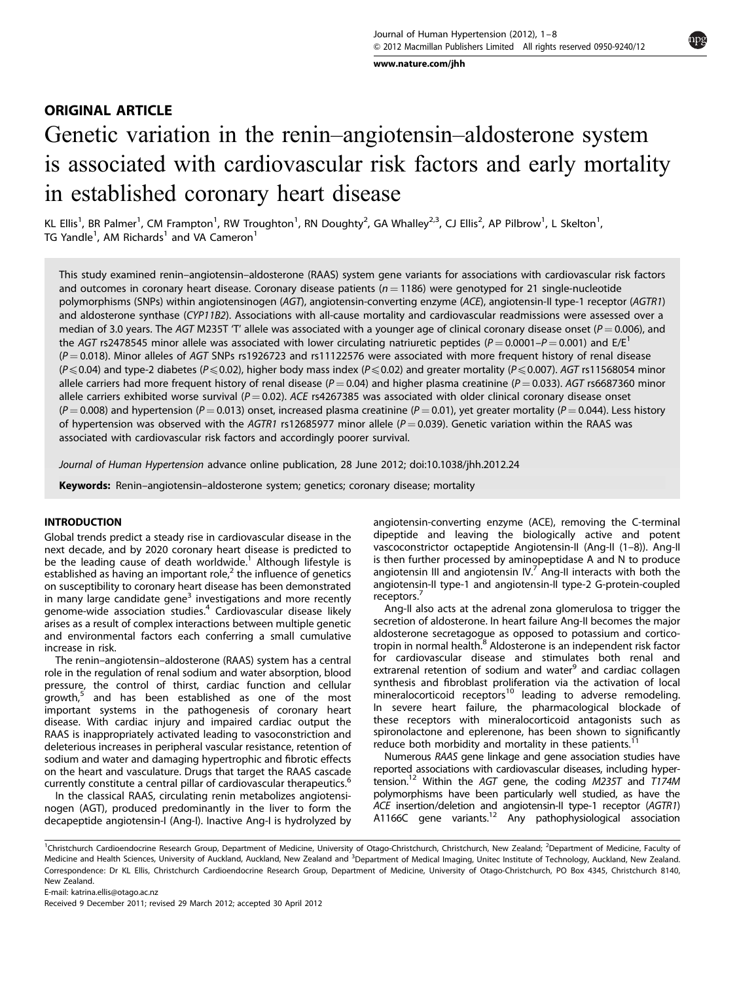[www.nature.com/jhh](http://www.nature.com/JHH)

## ORIGINAL ARTICLE

# Genetic variation in the renin–angiotensin–aldosterone system is associated with cardiovascular risk factors and early mortality in established coronary heart disease

KL Ellis<sup>1</sup>, BR Palmer<sup>1</sup>, CM Frampton<sup>1</sup>, RW Troughton<sup>1</sup>, RN Doughty<sup>2</sup>, GA Whalley<sup>2,3</sup>, CJ Ellis<sup>2</sup>, AP Pilbrow<sup>1</sup>, L Skelton<sup>1</sup>, TG Yandle<sup>1</sup>, AM Richards<sup>1</sup> and VA Cameron<sup>1</sup>

This study examined renin–angiotensin–aldosterone (RAAS) system gene variants for associations with cardiovascular risk factors and outcomes in coronary heart disease. Coronary disease patients ( $n = 1186$ ) were genotyped for 21 single-nucleotide polymorphisms (SNPs) within angiotensinogen (AGT), angiotensin-converting enzyme (ACE), angiotensin-II type-1 receptor (AGTR1) and aldosterone synthase (CYP11B2). Associations with all-cause mortality and cardiovascular readmissions were assessed over a median of 3.0 years. The AGT M235T T' allele was associated with a younger age of clinical coronary disease onset ( $P = 0.006$ ), and the AGT rs2478545 minor allele was associated with lower circulating natriuretic peptides ( $P = 0.0001 - P = 0.001$ ) and E/E<sup>1</sup>  $(P = 0.018)$ . Minor alleles of AGT SNPs rs1926723 and rs11122576 were associated with more frequent history of renal disease  $(P \le 0.04)$  and type-2 diabetes (P $\le 0.02$ ), higher body mass index (P $\le 0.02$ ) and greater mortality (P $\le 0.007$ ). AGT rs11568054 minor allele carriers had more frequent history of renal disease ( $P = 0.04$ ) and higher plasma creatinine ( $P = 0.033$ ). AGT rs6687360 minor allele carriers exhibited worse survival ( $P = 0.02$ ). ACE rs4267385 was associated with older clinical coronary disease onset  $(P = 0.008)$  and hypertension (P = 0.013) onset, increased plasma creatinine (P = 0.01), yet greater mortality (P = 0.044). Less history of hypertension was observed with the AGTR1 rs12685977 minor allele ( $P = 0.039$ ). Genetic variation within the RAAS was associated with cardiovascular risk factors and accordingly poorer survival.

Journal of Human Hypertension advance online publication, 28 June 2012; doi:[10.1038/jhh.2012.24](http://dx.doi.org/10.1038/jhh.2012.24)

Keywords: Renin-angiotensin-aldosterone system; genetics; coronary disease; mortality

## INTRODUCTION

Global trends predict a steady rise in cardiovascular disease in the next decade, and by 2020 coronary heart disease is predicted to be the leading cause of death worldwide.<sup>[1](#page-6-0)</sup> Although lifestyle is established as having an important role,<sup>[2](#page-6-0)</sup> the influence of genetics on susceptibility to coronary heart disease has been demonstrated in many large candidate gene<sup>[3](#page-6-0)</sup> investigations and more recently genome-wide association studies.[4](#page-6-0) Cardiovascular disease likely arises as a result of complex interactions between multiple genetic and environmental factors each conferring a small cumulative increase in risk.

The renin–angiotensin–aldosterone (RAAS) system has a central role in the regulation of renal sodium and water absorption, blood pressure, the control of thirst, cardiac function and cellular growth,<sup>[5](#page-6-0)</sup> and has been established as one of the most important systems in the pathogenesis of coronary heart disease. With cardiac injury and impaired cardiac output the RAAS is inappropriately activated leading to vasoconstriction and deleterious increases in peripheral vascular resistance, retention of sodium and water and damaging hypertrophic and fibrotic effects on the heart and vasculature. Drugs that target the RAAS cascade currently constitute a central pillar of cardiovascular therapeutics.<sup>[6](#page-6-0)</sup>

In the classical RAAS, circulating renin metabolizes angiotensinogen (AGT), produced predominantly in the liver to form the decapeptide angiotensin-I (Ang-I). Inactive Ang-I is hydrolyzed by angiotensin-converting enzyme (ACE), removing the C-terminal dipeptide and leaving the biologically active and potent vascoconstrictor octapeptide Angiotensin-II (Ang-II (1–8)). Ang-II is then further processed by aminopeptidase A and N to produce angiotensin III and angiotensin IV. $'$  Ang-II interacts with both the angiotensin-II type-1 and angiotensin-II type-2 G-protein-coupled receptors.<sup>[7](#page-6-0)</sup>

Ang-II also acts at the adrenal zona glomerulosa to trigger the secretion of aldosterone. In heart failure Ang-II becomes the major aldosterone secretagogue as opposed to potassium and cortico-tropin in normal health.<sup>[8](#page-6-0)</sup> Aldosterone is an independent risk factor for cardiovascular disease and stimulates both renal and extrarenal retention of sodium and water<sup>[9](#page-6-0)</sup> and cardiac collagen synthesis and fibroblast proliferation via the activation of local  $mineralocorticoid$  receptors $10$  leading to adverse remodeling. In severe heart failure, the pharmacological blockade of these receptors with mineralocorticoid antagonists such as spironolactone and eplerenone, has been shown to significantly reduce both morbidity and mortality in these patients.<sup>[11](#page-6-0)</sup>

Numerous RAAS gene linkage and gene association studies have reported associations with cardiovascular diseases, including hypertension.<sup>12</sup> Within the AGT gene, the coding M235T and T174M polymorphisms have been particularly well studied, as have the ACE insertion/deletion and angiotensin-II type-1 receptor (AGTR1)<br>A1166C gene variants.<sup>12</sup> Any pathophysiological association

<sup>1</sup>Christchurch Cardioendocrine Research Group, Department of Medicine, University of Otago-Christchurch, Christchurch, New Zealand; <sup>2</sup>Department of Medicine, Faculty of Medicine and Health Sciences, University of Auckland, Auckland, New Zealand and <sup>3</sup>Department of Medical Imaging, Unitec Institute of Technology, Auckland, New Zealand. Correspondence: Dr KL Ellis, Christchurch Cardioendocrine Research Group, Department of Medicine, University of Otago-Christchurch, PO Box 4345, Christchurch 8140, New Zealand.

E-mail: [katrina.ellis@otago.ac.nz](mailto:katrina.ellis@otago.ac.nz)

Received 9 December 2011; revised 29 March 2012; accepted 30 April 2012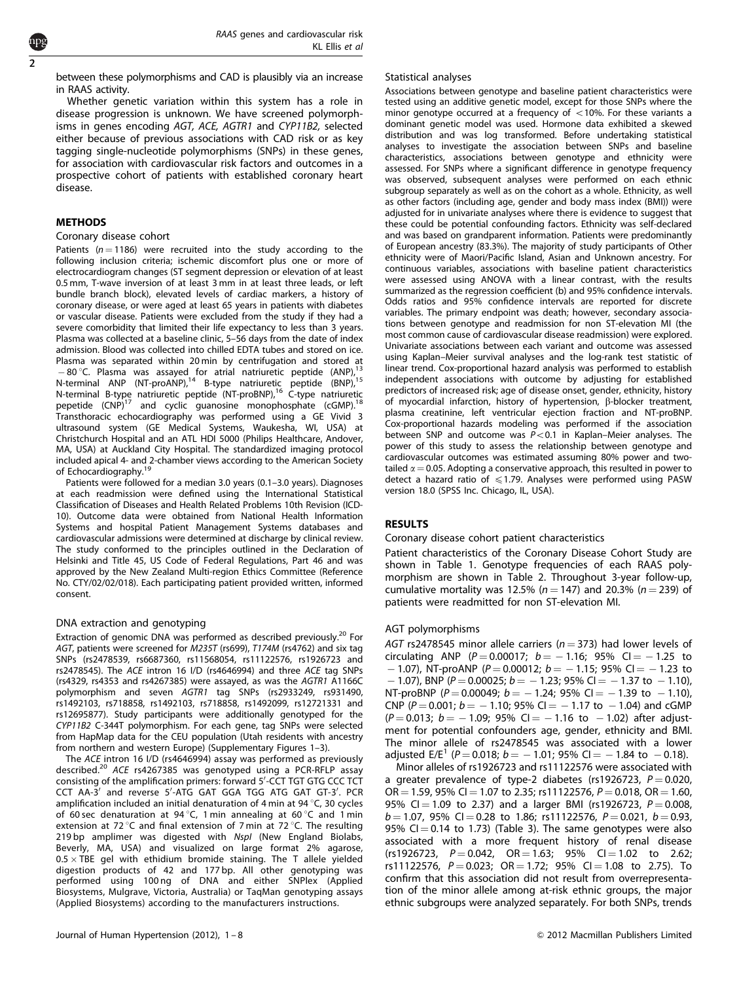between these polymorphisms and CAD is plausibly via an increase in RAAS activity.

Whether genetic variation within this system has a role in disease progression is unknown. We have screened polymorphisms in genes encoding AGT, ACE, AGTR1 and CYP11B2, selected either because of previous associations with CAD risk or as key tagging single-nucleotide polymorphisms (SNPs) in these genes, for association with cardiovascular risk factors and outcomes in a prospective cohort of patients with established coronary heart disease.

## **METHODS**

#### Coronary disease cohort

Patients ( $n = 1186$ ) were recruited into the study according to the following inclusion criteria; ischemic discomfort plus one or more of electrocardiogram changes (ST segment depression or elevation of at least 0.5 mm, T-wave inversion of at least 3 mm in at least three leads, or left bundle branch block), elevated levels of cardiac markers, a history of coronary disease, or were aged at least 65 years in patients with diabetes or vascular disease. Patients were excluded from the study if they had a severe comorbidity that limited their life expectancy to less than 3 years. Plasma was collected at a baseline clinic, 5-56 days from the date of index admission. Blood was collected into chilled EDTA tubes and stored on ice. Plasma was separated within 20 min by centrifugation and stored at -80 °C. Plasma was assayed for atrial natriuretic peptide (ANP),<sup>13</sup> N-terminal ANP (NT-proANP),<sup>14</sup> B-type natriuretic peptide (BNP),<sup>15</sup> N-terminal B-type natriuretic peptide (NT-proBNP),<sup>[16](#page-6-0)</sup> C-type natriuretic pepetide (CNP)<sup>[17](#page-6-0)</sup> and cyclic guanosine monophosphate (cGMP).<sup>18</sup> Transthoracic echocardiography was performed using a GE Vivid 3 ultrasound system (GE Medical Systems, Waukesha, WI, USA) at Christchurch Hospital and an ATL HDI 5000 (Philips Healthcare, Andover, MA, USA) at Auckland City Hospital. The standardized imaging protocol included apical 4- and 2-chamber views according to the American Society of Echocardiography[.19](#page-6-0)

Patients were followed for a median 3.0 years (0.1–3.0 years). Diagnoses at each readmission were defined using the International Statistical Classification of Diseases and Health Related Problems 10th Revision (ICD-10). Outcome data were obtained from National Health Information Systems and hospital Patient Management Systems databases and cardiovascular admissions were determined at discharge by clinical review. The study conformed to the principles outlined in the Declaration of Helsinki and Title 45, US Code of Federal Regulations, Part 46 and was approved by the New Zealand Multi-region Ethics Committee (Reference No. CTY/02/02/018). Each participating patient provided written, informed consent.

## DNA extraction and genotyping

Extraction of genomic DNA was performed as described previously.<sup>[20](#page-6-0)</sup> For AGT, patients were screened for M235T (rs699), T174M (rs4762) and six tag SNPs (rs2478539, rs6687360, rs11568054, rs11122576, rs1926723 and rs2478545). The ACE intron 16 I/D (rs4646994) and three ACE tag SNPs (rs4329, rs4353 and rs4267385) were assayed, as was the AGTR1 A1166C polymorphism and seven AGTR1 tag SNPs (rs2933249, rs931490, rs1492103, rs718858, rs1492103, rs718858, rs1492099, rs12721331 and rs12695877). Study participants were additionally genotyped for the CYP11B2 C-344T polymorphism. For each gene, tag SNPs were selected from HapMap data for the CEU population (Utah residents with ancestry from northern and western Europe) (Supplementary Figures 1–3).

The ACE intron 16 I/D (rs4646994) assay was performed as previously described.[20](#page-6-0) ACE rs4267385 was genotyped using a PCR-RFLP assay consisting of the amplification primers: forward 5'-CCT TGT GTG CCC TCT CCT AA-3' and reverse 5'-ATG GAT GGA TGG ATG GAT GT-3'. PCR amplification included an initial denaturation of 4 min at 94  $\degree$ C, 30 cycles of 60 sec denaturation at 94 °C, 1 min annealing at 60 °C and 1 min extension at 72 $\degree$ C and final extension of 7 min at 72 $\degree$ C. The resulting 219 bp amplimer was digested with Nspl (New England Biolabs, Beverly, MA, USA) and visualized on large format 2% agarose,  $0.5 \times$  TBE gel with ethidium bromide staining. The T allele yielded digestion products of 42 and 177 bp. All other genotyping was performed using 100 ng of DNA and either SNPlex (Applied Biosystems, Mulgrave, Victoria, Australia) or TaqMan genotyping assays (Applied Biosystems) according to the manufacturers instructions.

#### Statistical analyses

Associations between genotype and baseline patient characteristics were tested using an additive genetic model, except for those SNPs where the minor genotype occurred at a frequency of  $<$ 10%. For these variants a dominant genetic model was used. Hormone data exhibited a skewed distribution and was log transformed. Before undertaking statistical analyses to investigate the association between SNPs and baseline characteristics, associations between genotype and ethnicity were assessed. For SNPs where a significant difference in genotype frequency was observed, subsequent analyses were performed on each ethnic subgroup separately as well as on the cohort as a whole. Ethnicity, as well as other factors (including age, gender and body mass index (BMI)) were adjusted for in univariate analyses where there is evidence to suggest that these could be potential confounding factors. Ethnicity was self-declared and was based on grandparent information. Patients were predominantly of European ancestry (83.3%). The majority of study participants of Other ethnicity were of Maori/Pacific Island, Asian and Unknown ancestry. For continuous variables, associations with baseline patient characteristics were assessed using ANOVA with a linear contrast, with the results summarized as the regression coefficient (b) and 95% confidence intervals. Odds ratios and 95% confidence intervals are reported for discrete variables. The primary endpoint was death; however, secondary associations between genotype and readmission for non ST-elevation MI (the most common cause of cardiovascular disease readmission) were explored. Univariate associations between each variant and outcome was assessed using Kaplan–Meier survival analyses and the log-rank test statistic of linear trend. Cox-proportional hazard analysis was performed to establish independent associations with outcome by adjusting for established predictors of increased risk; age of disease onset, gender, ethnicity, history of myocardial infarction, history of hypertension,  $\beta$ -blocker treatment, plasma creatinine, left ventricular ejection fraction and NT-proBNP. Cox-proportional hazards modeling was performed if the association between SNP and outcome was  $P < 0.1$  in Kaplan–Meier analyses. The power of this study to assess the relationship between genotype and cardiovascular outcomes was estimated assuming 80% power and twotailed  $\alpha = 0.05$ . Adopting a conservative approach, this resulted in power to detect a hazard ratio of  $\leq 1.79$ . Analyses were performed using PASW version 18.0 (SPSS Inc. Chicago, IL, USA).

## RESULTS

#### Coronary disease cohort patient characteristics

Patient characteristics of the Coronary Disease Cohort Study are shown in [Table 1](#page-2-0). Genotype frequencies of each RAAS polymorphism are shown in [Table 2.](#page-2-0) Throughout 3-year follow-up, cumulative mortality was 12.5% ( $n = 147$ ) and 20.3% ( $n = 239$ ) of patients were readmitted for non ST-elevation MI.

#### AGT polymorphisms

AGT rs2478545 minor allele carriers ( $n = 373$ ) had lower levels of circulating ANP ( $P = 0.00017$ ;  $b = -1.16$ ; 95% Cl = -1.25 to  $-$  1.07), NT-proANP ( $P = 0.00012$ ;  $b = -1.15$ ; 95% Cl =  $-1.23$  to  $-$  1.07), BNP (P = 0.00025; b =  $-$  1.23; 95% CI =  $-$  1.37 to  $-$  1.10), NT-proBNP ( $P = 0.00049$ ;  $b = -1.24$ ; 95% CI =  $-1.39$  to  $-1.10$ ), CNP ( $P = 0.001$ ;  $b = -1.10$ ; 95% Cl =  $-1.17$  to  $-1.04$ ) and cGMP  $(P = 0.013; b = -1.09; 95\% \text{ Cl} = -1.16 \text{ to } -1.02)$  after adjustment for potential confounders age, gender, ethnicity and BMI. The minor allele of rs2478545 was associated with a lower adjusted  $E/E^1$  ( $P = 0.018$ ;  $b = -1.01$ ; 95% Cl = -1.84 to -0.18).

Minor alleles of rs1926723 and rs11122576 were associated with a greater prevalence of type-2 diabetes (rs1926723,  $P = 0.020$ ,  $OR = 1.59$ , 95% CI = 1.07 to 2.35; rs11122576, P = 0.018, OR = 1.60, 95% CI = 1.09 to 2.37) and a larger BMI (rs1926723,  $P = 0.008$ ,  $b = 1.07$ , 95% CI  $= 0.28$  to 1.86; rs11122576, P  $= 0.021$ ,  $b = 0.93$ , 95% CI  $=$  0.14 to 1.73) ([Table 3](#page-3-0)). The same genotypes were also associated with a more frequent history of renal disease  $(rs1926723, P = 0.042, OR = 1.63; 95% CI = 1.02 to 2.62;$ rs11122576,  $P = 0.023$ ; OR  $= 1.72$ ; 95% CI  $= 1.08$  to 2.75). To confirm that this association did not result from overrepresentation of the minor allele among at-risk ethnic groups, the major ethnic subgroups were analyzed separately. For both SNPs, trends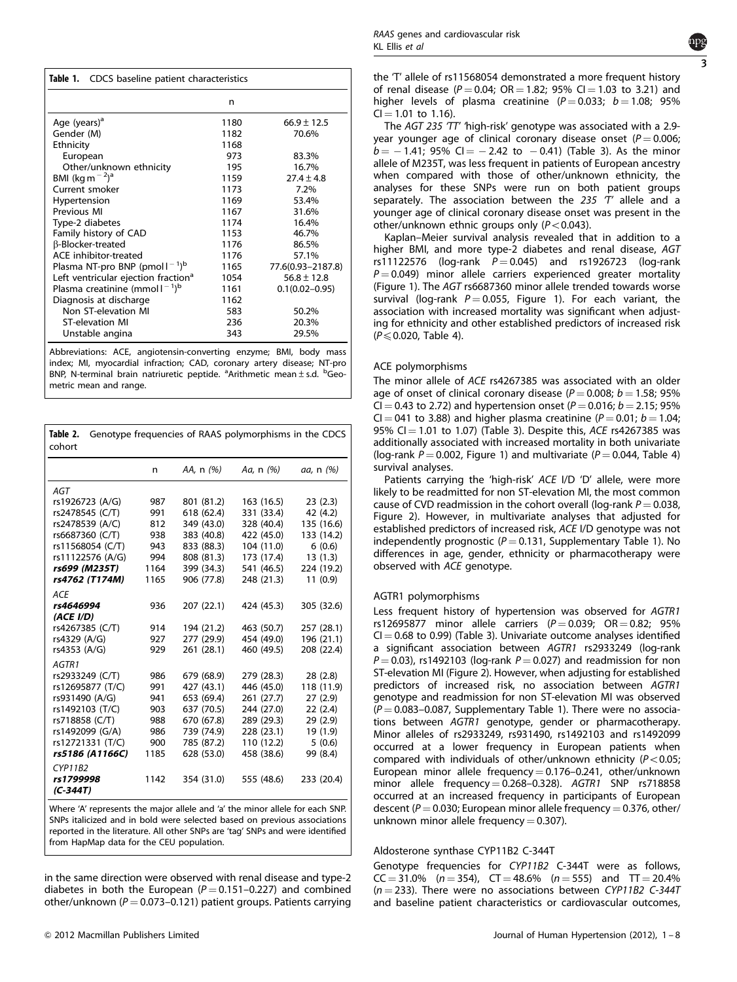<span id="page-2-0"></span>

| <b>Table 1.</b> CDCS baseline patient characteristics    |      |                    |  |  |  |  |  |  |
|----------------------------------------------------------|------|--------------------|--|--|--|--|--|--|
|                                                          | n    |                    |  |  |  |  |  |  |
| Age (years) <sup>a</sup>                                 | 1180 | $66.9 \pm 12.5$    |  |  |  |  |  |  |
| Gender (M)                                               | 1182 | 70.6%              |  |  |  |  |  |  |
| Ethnicity                                                | 1168 |                    |  |  |  |  |  |  |
| European                                                 | 973  | 83.3%              |  |  |  |  |  |  |
| Other/unknown ethnicity                                  | 195  | 16.7%              |  |  |  |  |  |  |
| BMI (kg m $^{-2}$ ) <sup>a</sup>                         | 1159 | $27.4 \pm 4.8$     |  |  |  |  |  |  |
| Current smoker                                           | 1173 | 7.2%               |  |  |  |  |  |  |
| Hypertension                                             | 1169 | 53.4%              |  |  |  |  |  |  |
| Previous MI                                              | 1167 | 31.6%              |  |  |  |  |  |  |
| Type-2 diabetes                                          | 1174 | 16.4%              |  |  |  |  |  |  |
| Family history of CAD                                    | 1153 | 46.7%              |  |  |  |  |  |  |
| <b>ß-Blocker-treated</b>                                 | 1176 | 86.5%              |  |  |  |  |  |  |
| ACE inhibitor-treated                                    | 1176 | 57.1%              |  |  |  |  |  |  |
| Plasma NT-pro BNP (pmol $1^{-1}$ ) <sup>b</sup>          | 1165 | 77.6(0.93-2187.8)  |  |  |  |  |  |  |
| Left ventricular ejection fraction <sup>a</sup>          | 1054 | $56.8 \pm 12.8$    |  |  |  |  |  |  |
| Plasma creatinine (mmol $\mathsf{I}^{-1}$ ) <sup>b</sup> | 1161 | $0.1(0.02 - 0.95)$ |  |  |  |  |  |  |
| Diagnosis at discharge                                   | 1162 |                    |  |  |  |  |  |  |
| Non ST-elevation MI                                      | 583  | 50.2%              |  |  |  |  |  |  |
| <b>ST-elevation MI</b>                                   | 236  | 20.3%              |  |  |  |  |  |  |
| Unstable angina                                          | 343  | 29.5%              |  |  |  |  |  |  |

Abbreviations: ACE, angiotensin-converting enzyme; BMI, body mass index; MI, myocardial infraction; CAD, coronary artery disease; NT-pro BNP, N-terminal brain natriuretic peptide. <sup>a</sup>Arithmetic mean ± s.d. <sup>b</sup>Geometric mean and range.

| Table 2.<br>cohort                                                                                                                                            |                                                       |                                                                                                              | Genotype frequencies of RAAS polymorphisms in the CDCS                                                       |                                                                                            |
|---------------------------------------------------------------------------------------------------------------------------------------------------------------|-------------------------------------------------------|--------------------------------------------------------------------------------------------------------------|--------------------------------------------------------------------------------------------------------------|--------------------------------------------------------------------------------------------|
|                                                                                                                                                               | n                                                     | AA, n (%)                                                                                                    | Aa, n (%)                                                                                                    | <i>aa</i> , n (%)                                                                          |
| AGT<br>rs1926723 (A/G)<br>rs2478545 (C/T)<br>rs2478539 (A/C)<br>rs6687360 (C/T)<br>rs11568054 (C/T)<br>rs11122576 (A/G)<br>rs699 (M235T)                      | 987<br>991<br>812<br>938<br>943<br>994<br>1164        | 801 (81.2)<br>618 (62.4)<br>349 (43.0)<br>383 (40.8)<br>833 (88.3)<br>808 (81.3)<br>399 (34.3)               | 163 (16.5)<br>331 (33.4)<br>328 (40.4)<br>422 (45.0)<br>104 (11.0)<br>173 (17.4)<br>541 (46.5)               | 23(2.3)<br>42 (4.2)<br>135 (16.6)<br>133 (14.2)<br>6(0.6)<br>13(1.3)<br>224 (19.2)         |
| rs4762 (T174M)<br><b>ACE</b><br>rs4646994                                                                                                                     | 1165<br>936                                           | 906 (77.8)<br>207 (22.1)                                                                                     | 248 (21.3)<br>424 (45.3)                                                                                     | 11(0.9)<br>305 (32.6)                                                                      |
| (ACE I/D)<br>rs4267385 (C/T)<br>rs4329 (A/G)<br>rs4353 (A/G)                                                                                                  | 914<br>927<br>929                                     | 194 (21.2)<br>277 (29.9)<br>261 (28.1)                                                                       | 463 (50.7)<br>454 (49.0)<br>460 (49.5)                                                                       | 257 (28.1)<br>196 (21.1)<br>208 (22.4)                                                     |
| AGTR1<br>rs2933249 (C/T)<br>rs12695877 (T/C)<br>rs931490 (A/G)<br>rs1492103 (T/C)<br>rs718858 (C/T)<br>rs1492099 (G/A)<br>rs12721331 (T/C)<br>rs5186 (A1166C) | 986<br>991<br>941<br>903<br>988<br>986<br>900<br>1185 | 679 (68.9)<br>427 (43.1)<br>653 (69.4)<br>637 (70.5)<br>670 (67.8)<br>739 (74.9)<br>785 (87.2)<br>628 (53.0) | 279 (28.3)<br>446 (45.0)<br>261 (27.7)<br>244 (27.0)<br>289 (29.3)<br>228 (23.1)<br>110 (12.2)<br>458 (38.6) | 28(2.8)<br>118 (11.9)<br>27(2.9)<br>22 (2.4)<br>29 (2.9)<br>19 (1.9)<br>5(0.6)<br>99 (8.4) |
| <b>CYP11B2</b><br>rs1799998<br>$(C-344T)$                                                                                                                     | 1142                                                  | 354 (31.0)                                                                                                   | 555 (48.6)                                                                                                   | 233 (20.4)                                                                                 |

Where 'A' represents the major allele and 'a' the minor allele for each SNP. SNPs italicized and in bold were selected based on previous associations reported in the literature. All other SNPs are 'tag' SNPs and were identified from HapMap data for the CEU population.

in the same direction were observed with renal disease and type-2 diabetes in both the European ( $P = 0.151 - 0.227$ ) and combined other/unknown ( $P = 0.073 - 0.121$ ) patient groups. Patients carrying



the 'T' allele of rs11568054 demonstrated a more frequent history of renal disease ( $P = 0.04$ ; OR = 1.82; 95% CI = 1.03 to 3.21) and higher levels of plasma creatinine ( $P = 0.033$ ;  $b = 1.08$ ; 95%  $Cl = 1.01$  to 1.16).

The AGT 235 'TT' 'high-risk' genotype was associated with a 2.9year younger age of clinical coronary disease onset ( $P = 0.006$ ;  $b = -1.41$ ; 95% CI  $= -2.42$  to  $-0.41$ ) ([Table 3\)](#page-3-0). As the minor allele of M235T, was less frequent in patients of European ancestry when compared with those of other/unknown ethnicity, the analyses for these SNPs were run on both patient groups separately. The association between the 235  $T'$  allele and a younger age of clinical coronary disease onset was present in the other/unknown ethnic groups only ( $P < 0.043$ ).

Kaplan–Meier survival analysis revealed that in addition to a higher BMI, and more type-2 diabetes and renal disease, AGT rs11122576 (log-rank  $P = 0.045$ ) and rs1926723 (log-rank  $P = 0.049$ ) minor allele carriers experienced greater mortality [\(Figure 1\)](#page-4-0). The AGT rs6687360 minor allele trended towards worse survival (log-rank  $P = 0.055$ , [Figure 1\)](#page-4-0). For each variant, the association with increased mortality was significant when adjusting for ethnicity and other established predictors of increased risk  $(P \le 0.020,$  [Table 4](#page-4-0)).

## ACE polymorphisms

The minor allele of ACE rs4267385 was associated with an older age of onset of clinical coronary disease ( $P = 0.008$ ;  $b = 1.58$ ; 95% CI = 0.43 to 2.72) and hypertension onset ( $P = 0.016$ ;  $b = 2.15$ ; 95% CI = 041 to 3.88) and higher plasma creatinine ( $P = 0.01$ ; b = 1.04; 95% CI  $=$  1.01 to 1.07) [\(Table 3](#page-3-0)). Despite this, ACE rs4267385 was additionally associated with increased mortality in both univariate (log-rank  $P = 0.002$ , [Figure 1](#page-4-0)) and multivariate ( $P = 0.044$ , [Table 4](#page-4-0)) survival analyses.

Patients carrying the 'high-risk' ACE I/D 'D' allele, were more likely to be readmitted for non ST-elevation MI, the most common cause of CVD readmission in the cohort overall (log-rank  $P = 0.038$ , [Figure 2\)](#page-5-0). However, in multivariate analyses that adjusted for established predictors of increased risk, ACE I/D genotype was not independently prognostic ( $P = 0.131$ , Supplementary Table 1). No differences in age, gender, ethnicity or pharmacotherapy were observed with ACE genotype.

## AGTR1 polymorphisms

Less frequent history of hypertension was observed for AGTR1 rs12695877 minor allele carriers ( $P = 0.039$ ; OR  $= 0.82$ ; 95%  $CI = 0.68$  to 0.99) [\(Table 3\)](#page-3-0). Univariate outcome analyses identified a significant association between AGTR1 rs2933249 (log-rank  $P = 0.03$ ), rs1492103 (log-rank  $P = 0.027$ ) and readmission for non ST-elevation MI [\(Figure 2](#page-5-0)). However, when adjusting for established predictors of increased risk, no association between AGTR1 genotype and readmission for non ST-elevation MI was observed  $(P = 0.083 - 0.087$ , Supplementary Table 1). There were no associations between AGTR1 genotype, gender or pharmacotherapy. Minor alleles of rs2933249, rs931490, rs1492103 and rs1492099 occurred at a lower frequency in European patients when compared with individuals of other/unknown ethnicity ( $P < 0.05$ ; European minor allele frequency  $= 0.176 - 0.241$ , other/unknown minor allele frequency = 0.268–0.328).  $AGTR1$  SNP rs718858 occurred at an increased frequency in participants of European descent ( $P = 0.030$ ; European minor allele frequency = 0.376, other/ unknown minor allele frequency  $= 0.307$ ).

## Aldosterone synthase CYP11B2 C-344T

Genotype frequencies for CYP11B2 C-344T were as follows,  $CC = 31.0\%$  ( $n = 354$ ),  $CT = 48.6\%$  ( $n = 555$ ) and  $TT = 20.4\%$  $(n = 233)$ . There were no associations between CYP11B2 C-344T and baseline patient characteristics or cardiovascular outcomes,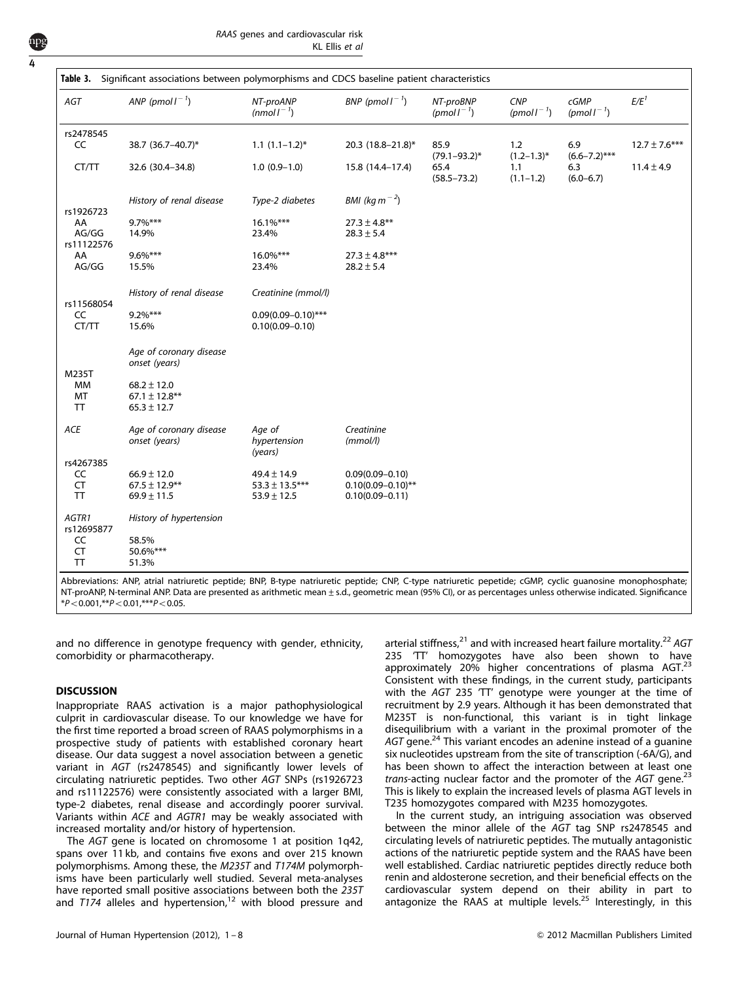<span id="page-3-0"></span>4

| AGT             | ANP (pmol $I^{-1}$ )     | NT-proANP<br>(nmol $I^{-1}$ ) | BNP (pmol $I^{-1}$ )      | NT-proBNP<br>(pmol $I^{-1}$ ) | CNP<br>(pmol $I^{-1}$ ) | cGMP<br>(pmoll <sup><math>-1</math></sup> ) | $E/E^1$           |
|-----------------|--------------------------|-------------------------------|---------------------------|-------------------------------|-------------------------|---------------------------------------------|-------------------|
| rs2478545       |                          |                               |                           |                               |                         |                                             |                   |
| CC              | 38.7 (36.7-40.7)*        | $1.1 (1.1 - 1.2)^*$           | 20.3 (18.8-21.8)*         | 85.9<br>$(79.1 - 93.2)^*$     | 1.2<br>$(1.2 - 1.3)^*$  | 6.9<br>$(6.6 - 7.2)$ ***                    | $12.7 \pm 7.6***$ |
| CT/TT           | 32.6 (30.4-34.8)         | $1.0(0.9-1.0)$                | 15.8 (14.4-17.4)          | 65.4<br>$(58.5 - 73.2)$       | 1.1<br>$(1.1 - 1.2)$    | 6.3<br>$(6.0 - 6.7)$                        | $11.4 \pm 4.9$    |
| rs1926723       | History of renal disease | Type-2 diabetes               | BMI (kg m <sup>-2</sup> ) |                               |                         |                                             |                   |
| AA              | $9.7\%$ ***              | $16.1\%***$                   | $27.3 \pm 4.8***$         |                               |                         |                                             |                   |
| AG/GG           | 14.9%                    | 23.4%                         | $28.3 \pm 5.4$            |                               |                         |                                             |                   |
| rs11122576      |                          |                               |                           |                               |                         |                                             |                   |
| AA              | $9.6\%***$               | $16.0\%***$                   | $27.3 \pm 4.8***$         |                               |                         |                                             |                   |
| AG/GG           | 15.5%                    | 23.4%                         | $28.2 \pm 5.4$            |                               |                         |                                             |                   |
|                 | History of renal disease | Creatinine (mmol/l)           |                           |                               |                         |                                             |                   |
| rs11568054      |                          |                               |                           |                               |                         |                                             |                   |
| CC              | $9.2\%***$               | $0.09(0.09 - 0.10)$ ***       |                           |                               |                         |                                             |                   |
| CT/TT           | 15.6%                    | $0.10(0.09 - 0.10)$           |                           |                               |                         |                                             |                   |
|                 | Age of coronary disease  |                               |                           |                               |                         |                                             |                   |
|                 | onset (years)            |                               |                           |                               |                         |                                             |                   |
| M235T           |                          |                               |                           |                               |                         |                                             |                   |
| <b>MM</b>       | $68.2 \pm 12.0$          |                               |                           |                               |                         |                                             |                   |
| MT              | $67.1 \pm 12.8***$       |                               |                           |                               |                         |                                             |                   |
| <b>TT</b>       | $65.3 \pm 12.7$          |                               |                           |                               |                         |                                             |                   |
| ACE             | Age of coronary disease  | Age of                        | Creatinine                |                               |                         |                                             |                   |
|                 | onset (years)            | hypertension<br>(years)       | (mmol/l)                  |                               |                         |                                             |                   |
| rs4267385       |                          |                               |                           |                               |                         |                                             |                   |
| CC              | $66.9 \pm 12.0$          | $49.4 \pm 14.9$               | $0.09(0.09 - 0.10)$       |                               |                         |                                             |                   |
| <b>CT</b>       | $67.5 \pm 12.9***$       | $53.3 \pm 13.5***$            | $0.10(0.09 - 0.10)$ **    |                               |                         |                                             |                   |
| <b>TT</b>       | $69.9 \pm 11.5$          | $53.9 \pm 12.5$               | $0.10(0.09 - 0.11)$       |                               |                         |                                             |                   |
| AGTR1           | History of hypertension  |                               |                           |                               |                         |                                             |                   |
| rs12695877      |                          |                               |                           |                               |                         |                                             |                   |
| CC<br><b>CT</b> | 58.5%<br>50.6%***        |                               |                           |                               |                         |                                             |                   |
| TT              | 51.3%                    |                               |                           |                               |                         |                                             |                   |

Abbreviations: ANP, atrial natriuretic peptide; BNP, B-type natriuretic peptide; CNP, C-type natriuretic pepetide; cGMP, cyclic guanosine monophosphate; NT-proANP, N-terminal ANP. Data are presented as arithmetic mean±s.d., geometric mean (95% CI), or as percentages unless otherwise indicated. Significance  $*P<0.001,**P<0.01,***P<0.05$ .

and no difference in genotype frequency with gender, ethnicity, comorbidity or pharmacotherapy.

#### **DISCUSSION**

Inappropriate RAAS activation is a major pathophysiological culprit in cardiovascular disease. To our knowledge we have for the first time reported a broad screen of RAAS polymorphisms in a prospective study of patients with established coronary heart disease. Our data suggest a novel association between a genetic variant in AGT (rs2478545) and significantly lower levels of circulating natriuretic peptides. Two other AGT SNPs (rs1926723 and rs11122576) were consistently associated with a larger BMI, type-2 diabetes, renal disease and accordingly poorer survival. Variants within ACE and AGTR1 may be weakly associated with increased mortality and/or history of hypertension.

The AGT gene is located on chromosome 1 at position 1q42, spans over 11 kb, and contains five exons and over 215 known polymorphisms. Among these, the M235T and T174M polymorphisms have been particularly well studied. Several meta-analyses have reported small positive associations between both the 235T and  $T174$  alleles and hypertension,<sup>[12](#page-6-0)</sup> with blood pressure and arterial stiffness,<sup>[21](#page-6-0)</sup> and with increased heart failure mortality.<sup>[22](#page-6-0)</sup> AGT 235 'TT' homozygotes have also been shown to have approximately 20% higher concentrations of plasma AGT.<sup>[23](#page-6-0)</sup> Consistent with these findings, in the current study, participants with the AGT 235 'TT' genotype were younger at the time of recruitment by 2.9 years. Although it has been demonstrated that M235T is non-functional, this variant is in tight linkage disequilibrium with a variant in the proximal promoter of the AGT gene.<sup>[24](#page-6-0)</sup> This variant encodes an adenine instead of a guanine six nucleotides upstream from the site of transcription (-6A/G), and has been shown to affect the interaction between at least one trans-acting nuclear factor and the promoter of the  $AGT$  gene.<sup>[23](#page-6-0)</sup> This is likely to explain the increased levels of plasma AGT levels in T235 homozygotes compared with M235 homozygotes.

In the current study, an intriguing association was observed between the minor allele of the AGT tag SNP rs2478545 and circulating levels of natriuretic peptides. The mutually antagonistic actions of the natriuretic peptide system and the RAAS have been well established. Cardiac natriuretic peptides directly reduce both renin and aldosterone secretion, and their beneficial effects on the cardiovascular system depend on their ability in part to antagonize the RAAS at multiple levels.[25](#page-7-0) Interestingly, in this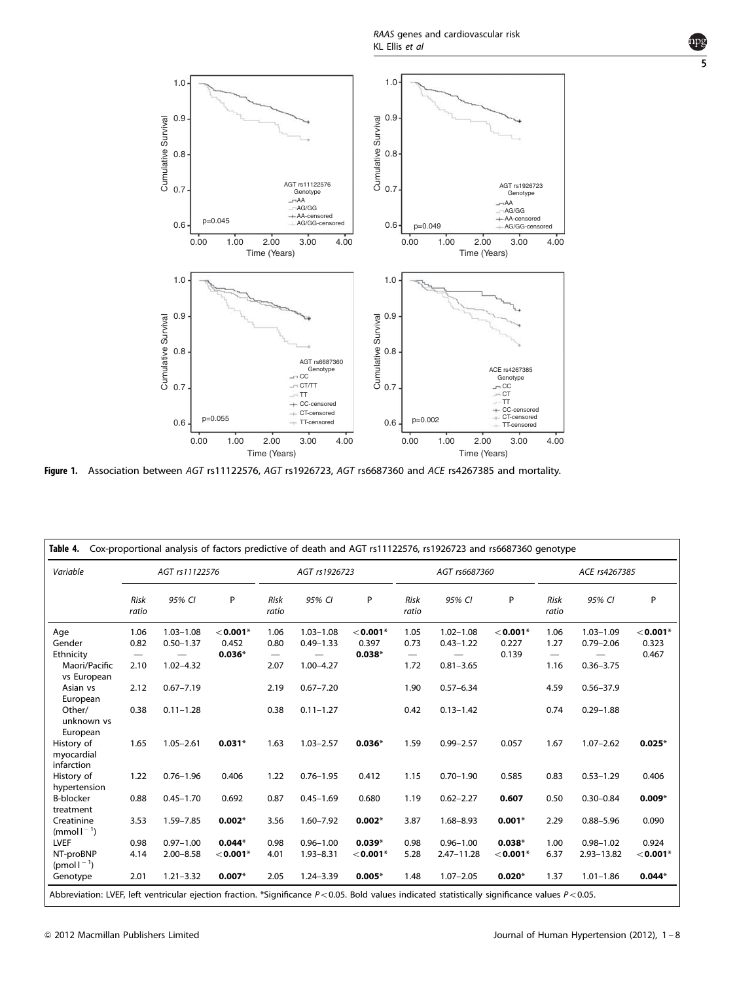RAAS genes and cardiovascular risk KL Ellis et al

<span id="page-4-0"></span>

Figure 1. Association between AGT rs11122576, AGT rs1926723, AGT rs6687360 and ACE rs4267385 and mortality.

| Variable                               | AGT rs11122576       |               |               | AGT rs1926723                  |               |               | AGT rs6687360        |                |               | ACE rs4267385                  |               |               |
|----------------------------------------|----------------------|---------------|---------------|--------------------------------|---------------|---------------|----------------------|----------------|---------------|--------------------------------|---------------|---------------|
|                                        | <b>Risk</b><br>ratio | 95% CI        | P             | <b>Risk</b><br>ratio           | 95% CI        | P             | <b>Risk</b><br>ratio | 95% CI         | P             | <b>Risk</b><br>ratio           | 95% CI        | P             |
| Age                                    | 1.06                 | $1.03 - 1.08$ | $<$ 0.001 $*$ | 1.06                           | $1.03 - 1.08$ | $<$ 0.001 $*$ | 1.05                 | $1.02 - 1.08$  | $<$ 0.001 $*$ | 1.06                           | $1.03 - 1.09$ | $<$ 0.001*    |
| Gender                                 | 0.82                 | $0.50 - 1.37$ | 0.452         | 0.80                           | $0.49 - 1.33$ | 0.397         | 0.73                 | $0.43 - 1.22$  | 0.227         | 1.27                           | $0.79 - 2.06$ | 0.323         |
| Ethnicity                              | —                    |               | $0.036*$      | $\qquad \qquad \longleftarrow$ |               | $0.038*$      | —                    |                | 0.139         | $\qquad \qquad \longleftarrow$ |               | 0.467         |
| Maori/Pacific<br>vs European           | 2.10                 | $1.02 - 4.32$ |               | 2.07                           | $1.00 - 4.27$ |               | 1.72                 | $0.81 - 3.65$  |               | 1.16                           | $0.36 - 3.75$ |               |
| Asian vs<br>European                   | 2.12                 | $0.67 - 7.19$ |               | 2.19                           | $0.67 - 7.20$ |               | 1.90                 | $0.57 - 6.34$  |               | 4.59                           | $0.56 - 37.9$ |               |
| Other/<br>unknown vs<br>European       | 0.38                 | $0.11 - 1.28$ |               | 0.38                           | $0.11 - 1.27$ |               | 0.42                 | $0.13 - 1.42$  |               | 0.74                           | $0.29 - 1.88$ |               |
| History of<br>myocardial<br>infarction | 1.65                 | $1.05 - 2.61$ | $0.031*$      | 1.63                           | $1.03 - 2.57$ | $0.036*$      | 1.59                 | $0.99 - 2.57$  | 0.057         | 1.67                           | $1.07 - 2.62$ | $0.025*$      |
| History of                             | 1.22                 | $0.76 - 1.96$ | 0.406         | 1.22                           | $0.76 - 1.95$ | 0.412         | 1.15                 | $0.70 - 1.90$  | 0.585         | 0.83                           | $0.53 - 1.29$ | 0.406         |
| hypertension                           |                      |               |               |                                |               |               |                      |                |               |                                |               |               |
| <b>B-blocker</b><br>treatment          | 0.88                 | $0.45 - 1.70$ | 0.692         | 0.87                           | $0.45 - 1.69$ | 0.680         | 1.19                 | $0.62 - 2.27$  | 0.607         | 0.50                           | $0.30 - 0.84$ | $0.009*$      |
| Creatinine<br>$(mmol-1)$               | 3.53                 | 1.59-7.85     | $0.002*$      | 3.56                           | $1.60 - 7.92$ | $0.002*$      | 3.87                 | $1.68 - 8.93$  | $0.001*$      | 2.29                           | $0.88 - 5.96$ | 0.090         |
| LVEF                                   | 0.98                 | $0.97 - 1.00$ | $0.044*$      | 0.98                           | $0.96 - 1.00$ | $0.039*$      | 0.98                 | $0.96 - 1.00$  | $0.038*$      | 1.00                           | $0.98 - 1.02$ | 0.924         |
| NT-proBNP<br>(pmol $I^{-1}$ )          | 4.14                 | $2.00 - 8.58$ | $<$ 0.001 $*$ | 4.01                           | $1.93 - 8.31$ | $<$ 0.001*    | 5.28                 | $2.47 - 11.28$ | $<$ 0.001*    | 6.37                           | 2.93-13.82    | $<$ 0.001 $*$ |
| Genotype                               | 2.01                 | $1.21 - 3.32$ | $0.007*$      | 2.05                           | $1.24 - 3.39$ | $0.005*$      | 1.48                 | $1.07 - 2.05$  | $0.020*$      | 1.37                           | $1.01 - 1.86$ | $0.044*$      |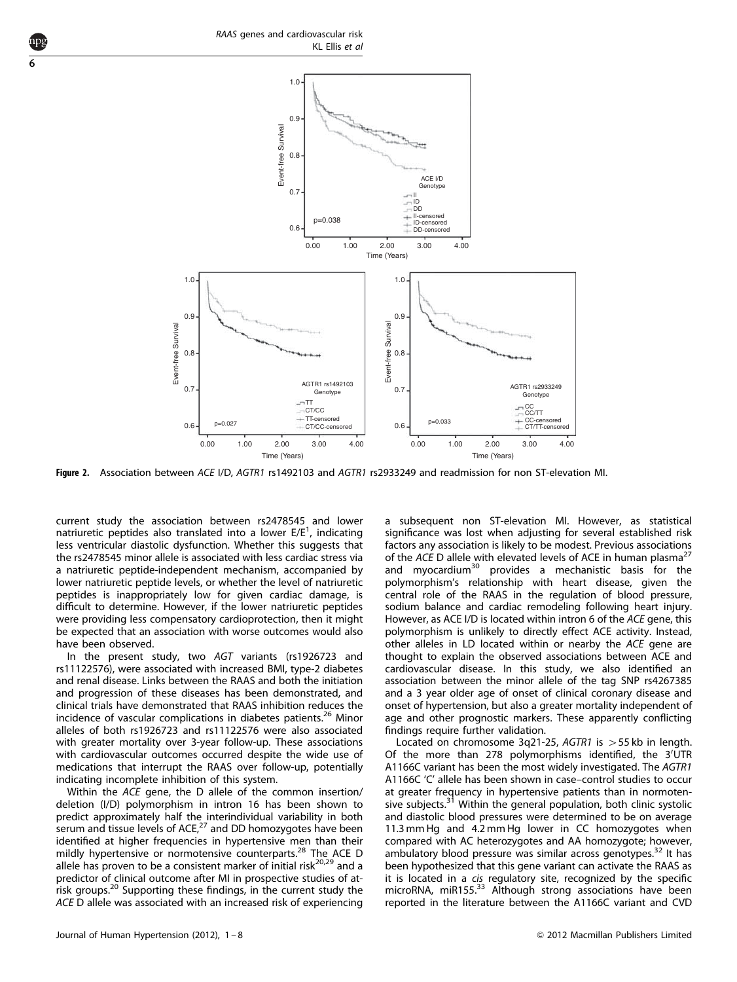<span id="page-5-0"></span>6



Figure 2. Association between ACE I/D, AGTR1 rs1492103 and AGTR1 rs2933249 and readmission for non ST-elevation MI.

current study the association between rs2478545 and lower natriuretic peptides also translated into a lower  $E/E<sup>1</sup>$ , indicating less ventricular diastolic dysfunction. Whether this suggests that the rs2478545 minor allele is associated with less cardiac stress via a natriuretic peptide-independent mechanism, accompanied by lower natriuretic peptide levels, or whether the level of natriuretic peptides is inappropriately low for given cardiac damage, is difficult to determine. However, if the lower natriuretic peptides were providing less compensatory cardioprotection, then it might be expected that an association with worse outcomes would also have been observed.

In the present study, two AGT variants (rs1926723 and rs11122576), were associated with increased BMI, type-2 diabetes and renal disease. Links between the RAAS and both the initiation and progression of these diseases has been demonstrated, and clinical trials have demonstrated that RAAS inhibition reduces the incidence of vascular complications in diabetes patients.<sup>[26](#page-7-0)</sup> Minor alleles of both rs1926723 and rs11122576 were also associated with greater mortality over 3-year follow-up. These associations with cardiovascular outcomes occurred despite the wide use of medications that interrupt the RAAS over follow-up, potentially indicating incomplete inhibition of this system.

Within the ACE gene, the D allele of the common insertion/ deletion (I/D) polymorphism in intron 16 has been shown to predict approximately half the interindividual variability in both serum and tissue levels of ACE, $27$  and DD homozygotes have been identified at higher frequencies in hypertensive men than their mildly hypertensive or normotensive counterparts.<sup>[28](#page-7-0)</sup> The ACE D allele has proven to be a consistent marker of initial risk $^{20,29}$  $^{20,29}$  $^{20,29}$  and a predictor of clinical outcome after MI in prospective studies of at-risk groups.<sup>[20](#page-6-0)</sup> Supporting these findings, in the current study the ACE D allele was associated with an increased risk of experiencing a subsequent non ST-elevation MI. However, as statistical significance was lost when adjusting for several established risk factors any association is likely to be modest. Previous associations of the ACE D allele with elevated levels of ACE in human plasma<sup>[27](#page-7-0)</sup> and myocardium<sup>[30](#page-7-0)</sup> provides a mechanistic basis for the polymorphism's relationship with heart disease, given the central role of the RAAS in the regulation of blood pressure, sodium balance and cardiac remodeling following heart injury. However, as ACE I/D is located within intron 6 of the ACE gene, this polymorphism is unlikely to directly effect ACE activity. Instead, other alleles in LD located within or nearby the ACE gene are thought to explain the observed associations between ACE and cardiovascular disease. In this study, we also identified an association between the minor allele of the tag SNP rs4267385 and a 3 year older age of onset of clinical coronary disease and onset of hypertension, but also a greater mortality independent of age and other prognostic markers. These apparently conflicting findings require further validation.

Located on chromosome 3q21-25, AGTR1 is  $>$  55 kb in length. Of the more than 278 polymorphisms identified, the 3'UTR A1166C variant has been the most widely investigated. The AGTR1 A1166C 'C' allele has been shown in case–control studies to occur at greater frequency in hypertensive patients than in normoten-sive subjects.<sup>[31](#page-7-0)</sup> Within the general population, both clinic systolic and diastolic blood pressures were determined to be on average 11.3 mm Hg and 4.2 mm Hg lower in CC homozygotes when compared with AC heterozygotes and AA homozygote; however, ambulatory blood pressure was similar across genotypes.<sup>[32](#page-7-0)</sup> It has been hypothesized that this gene variant can activate the RAAS as it is located in a cis regulatory site, recognized by the specific microRNA, miR155.<sup>33</sup> Although strong associations have been reported in the literature between the A1166C variant and CVD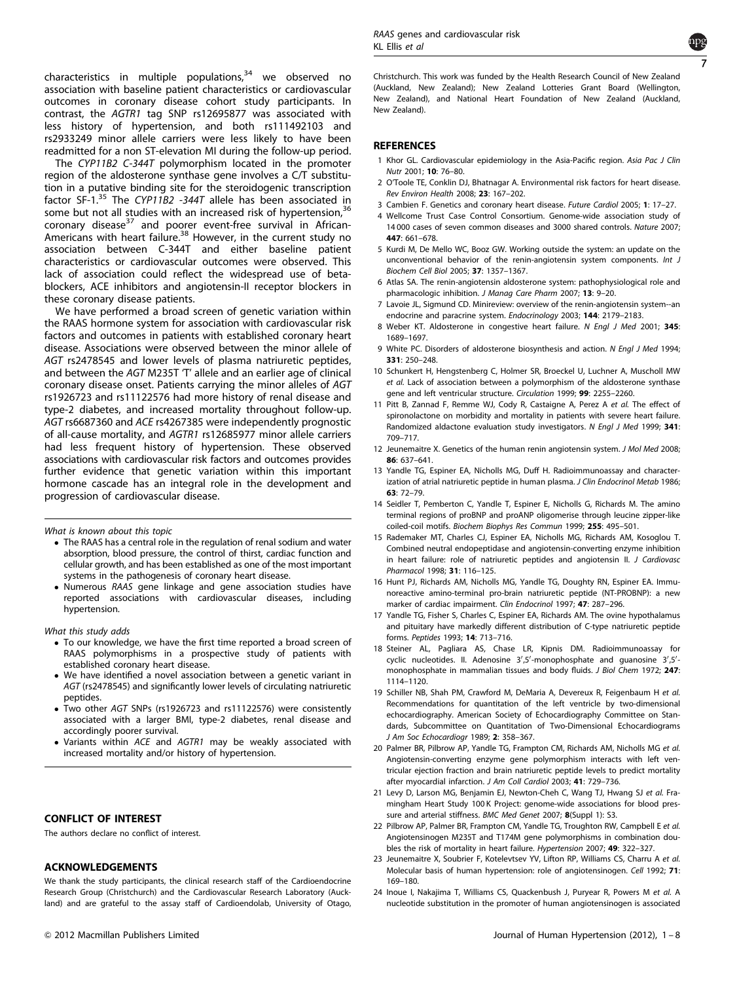<span id="page-6-0"></span>characteristics in multiple populations, $34$  we observed no association with baseline patient characteristics or cardiovascular outcomes in coronary disease cohort study participants. In contrast, the AGTR1 tag SNP rs12695877 was associated with less history of hypertension, and both rs111492103 and rs2933249 minor allele carriers were less likely to have been readmitted for a non ST-elevation MI during the follow-up period.

The CYP11B2 C-344T polymorphism located in the promoter region of the aldosterone synthase gene involves a C/T substitution in a putative binding site for the steroidogenic transcription factor SF-1.[35](#page-7-0) The CYP11B2 -344T allele has been associated in some but not all studies with an increased risk of hypertension,<sup>[36](#page-7-0)</sup> coronary disease<sup>[37](#page-7-0)</sup> and poorer event-free survival in African-Americans with heart failure.<sup>[38](#page-7-0)</sup> However, in the current study no association between C-344T and either baseline patient characteristics or cardiovascular outcomes were observed. This lack of association could reflect the widespread use of betablockers, ACE inhibitors and angiotensin-II receptor blockers in these coronary disease patients.

We have performed a broad screen of genetic variation within the RAAS hormone system for association with cardiovascular risk factors and outcomes in patients with established coronary heart disease. Associations were observed between the minor allele of AGT rs2478545 and lower levels of plasma natriuretic peptides, and between the AGT M235T 'T' allele and an earlier age of clinical coronary disease onset. Patients carrying the minor alleles of AGT rs1926723 and rs11122576 had more history of renal disease and type-2 diabetes, and increased mortality throughout follow-up. AGT rs6687360 and ACE rs4267385 were independently prognostic of all-cause mortality, and AGTR1 rs12685977 minor allele carriers had less frequent history of hypertension. These observed associations with cardiovascular risk factors and outcomes provides further evidence that genetic variation within this important hormone cascade has an integral role in the development and progression of cardiovascular disease.

What is known about this topic

- The RAAS has a central role in the regulation of renal sodium and water absorption, blood pressure, the control of thirst, cardiac function and cellular growth, and has been established as one of the most important systems in the pathogenesis of coronary heart disease.
- Numerous RAAS gene linkage and gene association studies have reported associations with cardiovascular diseases, including hypertension.

What this study adds

- To our knowledge, we have the first time reported a broad screen of RAAS polymorphisms in a prospective study of patients with established coronary heart disease.
- We have identified a novel association between a genetic variant in AGT (rs2478545) and significantly lower levels of circulating natriuretic peptides.
- Two other AGT SNPs (rs1926723 and rs11122576) were consistently associated with a larger BMI, type-2 diabetes, renal disease and accordingly poorer survival.
- Variants within ACE and AGTR1 may be weakly associated with increased mortality and/or history of hypertension.

## CONFLICT OF INTEREST

The authors declare no conflict of interest.

#### ACKNOWLEDGEMENTS

We thank the study participants, the clinical research staff of the Cardioendocrine Research Group (Christchurch) and the Cardiovascular Research Laboratory (Auckland) and are grateful to the assay staff of Cardioendolab, University of Otago,



Christchurch. This work was funded by the Health Research Council of New Zealand (Auckland, New Zealand); New Zealand Lotteries Grant Board (Wellington, New Zealand), and National Heart Foundation of New Zealand (Auckland, New Zealand).

## **REFERENCES**

- 1 Khor GL. Cardiovascular epidemiology in the Asia-Pacific region. Asia Pac J Clin Nutr 2001; 10: 76–80.
- 2 O'Toole TE, Conklin DJ, Bhatnagar A. Environmental risk factors for heart disease. Rev Environ Health 2008; 23: 167–202.
- 3 Cambien F. Genetics and coronary heart disease. Future Cardiol 2005; 1: 17–27.
- 4 Wellcome Trust Case Control Consortium. Genome-wide association study of 14 000 cases of seven common diseases and 3000 shared controls. Nature 2007; 447: 661–678.
- 5 Kurdi M, De Mello WC, Booz GW. Working outside the system: an update on the unconventional behavior of the renin-angiotensin system components. Int J Biochem Cell Biol 2005; 37: 1357–1367.
- 6 Atlas SA. The renin-angiotensin aldosterone system: pathophysiological role and pharmacologic inhibition. J Manag Care Pharm 2007; 13: 9-20.
- 7 Lavoie JL, Sigmund CD. Minireview: overview of the renin-angiotensin system--an endocrine and paracrine system. Endocrinology 2003; 144: 2179–2183.
- 8 Weber KT. Aldosterone in congestive heart failure. N Engl J Med 2001; 345: 1689–1697.
- 9 White PC. Disorders of aldosterone biosynthesis and action. N Engl J Med 1994; 331: 250–248.
- 10 Schunkert H, Hengstenberg C, Holmer SR, Broeckel U, Luchner A, Muscholl MW et al. Lack of association between a polymorphism of the aldosterone synthase gene and left ventricular structure. Circulation 1999; 99: 2255–2260.
- 11 Pitt B, Zannad F, Remme WJ, Cody R, Castaigne A, Perez A et al. The effect of spironolactone on morbidity and mortality in patients with severe heart failure. Randomized aldactone evaluation study investigators. N Engl J Med 1999; 341: 709–717.
- 12 Jeunemaitre X. Genetics of the human renin angiotensin system. J Mol Med 2008; 86: 637–641.
- 13 Yandle TG, Espiner EA, Nicholls MG, Duff H. Radioimmunoassay and characterization of atrial natriuretic peptide in human plasma. J Clin Endocrinol Metab 1986; 63: 72–79.
- 14 Seidler T, Pemberton C, Yandle T, Espiner E, Nicholls G, Richards M. The amino terminal regions of proBNP and proANP oligomerise through leucine zipper-like coiled-coil motifs. Biochem Biophys Res Commun 1999; 255: 495–501.
- 15 Rademaker MT, Charles CJ, Espiner EA, Nicholls MG, Richards AM, Kosoglou T. Combined neutral endopeptidase and angiotensin-converting enzyme inhibition in heart failure: role of natriuretic peptides and angiotensin II. J Cardiovasc Pharmacol 1998; 31: 116–125.
- 16 Hunt PJ, Richards AM, Nicholls MG, Yandle TG, Doughty RN, Espiner EA. Immunoreactive amino-terminal pro-brain natriuretic peptide (NT-PROBNP): a new marker of cardiac impairment. Clin Endocrinol 1997; 47: 287–296.
- 17 Yandle TG, Fisher S, Charles C, Espiner EA, Richards AM. The ovine hypothalamus and pituitary have markedly different distribution of C-type natriuretic peptide forms. Peptides 1993; 14: 713–716.
- 18 Steiner AL, Pagliara AS, Chase LR, Kipnis DM. Radioimmunoassay for cyclic nucleotides. II. Adenosine 3',5'-monophosphate and guanosine 3',5'monophosphate in mammalian tissues and body fluids. J Biol Chem 1972; 247: 1114–1120.
- 19 Schiller NB, Shah PM, Crawford M, DeMaria A, Devereux R, Feigenbaum H et al. Recommendations for quantitation of the left ventricle by two-dimensional echocardiography. American Society of Echocardiography Committee on Standards, Subcommittee on Quantitation of Two-Dimensional Echocardiograms J Am Soc Echocardiogr 1989; 2: 358–367.
- 20 Palmer BR, Pilbrow AP, Yandle TG, Frampton CM, Richards AM, Nicholls MG et al. Angiotensin-converting enzyme gene polymorphism interacts with left ventricular ejection fraction and brain natriuretic peptide levels to predict mortality after myocardial infarction. J Am Coll Cardiol 2003; 41: 729–736.
- 21 Levy D, Larson MG, Benjamin EJ, Newton-Cheh C, Wang TJ, Hwang SJ et al. Framingham Heart Study 100 K Project: genome-wide associations for blood pressure and arterial stiffness. BMC Med Genet 2007; 8(Suppl 1): S3.
- 22 Pilbrow AP, Palmer BR, Frampton CM, Yandle TG, Troughton RW, Campbell E et al. Angiotensinogen M235T and T174M gene polymorphisms in combination doubles the risk of mortality in heart failure. Hypertension 2007; 49: 322–327.
- 23 Jeunemaitre X, Soubrier F, Kotelevtsev YV, Lifton RP, Williams CS, Charru A et al. Molecular basis of human hypertension: role of angiotensinogen. Cell 1992; 71: 169–180.
- 24 Inoue I, Nakajima T, Williams CS, Quackenbush J, Puryear R, Powers M et al. A nucleotide substitution in the promoter of human angiotensinogen is associated